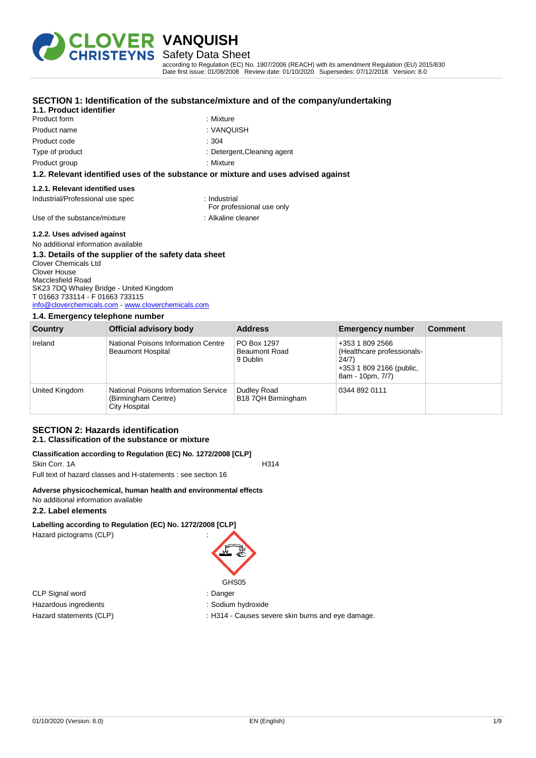

# Safety Data Sheet

according to Regulation (EC) No. 1907/2006 (REACH) with its amendment Regulation (EU) 2015/830 Date first issue: 01/08/2008 Review date: 01/10/2020 Supersedes: 07/12/2018 Version: 8.0

| 1.1. Product identifier                               | SECTION 1: Identification of the substance/mixture and of the company/undertaking  |
|-------------------------------------------------------|------------------------------------------------------------------------------------|
| Product form                                          | : Mixture                                                                          |
| Product name                                          | : VANQUISH                                                                         |
| Product code                                          | :304                                                                               |
| Type of product                                       | : Detergent, Cleaning agent                                                        |
| Product group                                         | : Mixture                                                                          |
|                                                       | 1.2. Relevant identified uses of the substance or mixture and uses advised against |
| 1.2.1. Relevant identified uses                       |                                                                                    |
| Industrial/Professional use spec                      | : Industrial<br>For professional use only                                          |
| Use of the substance/mixture                          | : Alkaline cleaner                                                                 |
| 1.2.2. Uses advised against                           |                                                                                    |
| No additional information available                   |                                                                                    |
| 1.3. Detaile af the cunniler af the cefety data sheet |                                                                                    |

#### **1.3. Details of the supplier of the safety data sheet** Clover Chemicals Ltd Clover House Macclesfield Road SK23 7DQ Whaley Bridge - United Kingdom T 01663 733114 - F 01663 733115 [info@cloverchemicals.com](mailto:info@cloverchemicals.com) - <www.cloverchemicals.com>

#### **1.4. Emergency telephone number**

| Country        | Official advisory body                                                       | <b>Address</b>                                  | <b>Emergency number</b>                                                                                | <b>Comment</b> |
|----------------|------------------------------------------------------------------------------|-------------------------------------------------|--------------------------------------------------------------------------------------------------------|----------------|
| Ireland        | National Poisons Information Centre<br><b>Beaumont Hospital</b>              | PO Box 1297<br><b>Beaumont Road</b><br>9 Dublin | +353 1 809 2566<br>(Healthcare professionals-<br>24/7)<br>+353 1 809 2166 (public,<br>8am - 10pm, 7/7) |                |
| United Kingdom | National Poisons Information Service<br>(Birmingham Centre)<br>City Hospital | Dudley Road<br>B18 7QH Birmingham               | 0344 892 0111                                                                                          |                |

### **SECTION 2: Hazards identification 2.1. Classification of the substance or mixture**

#### **Classification according to Regulation (EC) No. 1272/2008 [CLP]** Skin Corr. 1A H314

Full text of hazard classes and H-statements : see section 16

#### **Adverse physicochemical, human health and environmental effects**

#### No additional information available

#### **2.2. Label elements**

**Labelling according to Regulation (EC) No. 1272/2008 [CLP]** Hazard pictograms (CLP) :

CLP Signal word : Danger Hazardous ingredients : Sodium hydroxide

# GHS<sub>05</sub>

- 
- Hazard statements (CLP) : H314 Causes severe skin burns and eye damage.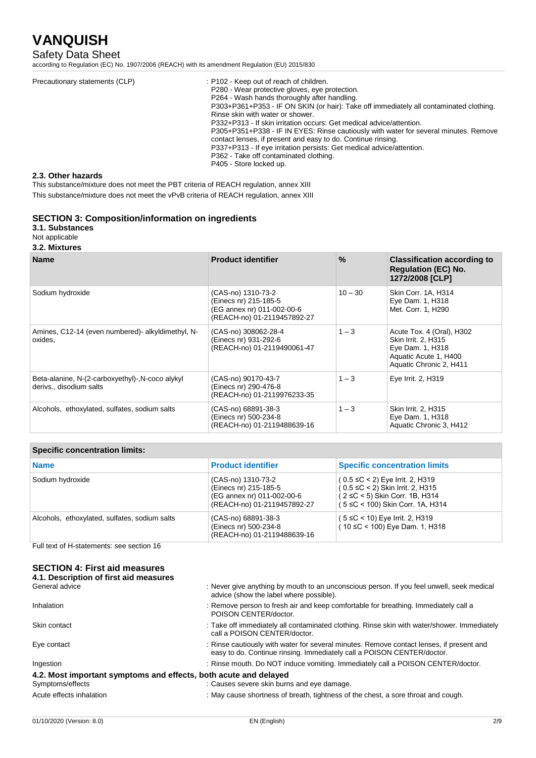# Safety Data Sheet

according to Regulation (EC) No. 1907/2006 (REACH) with its amendment Regulation (EU) 2015/830

| Precautionary statements (CLP) | : P102 - Keep out of reach of children.<br>P280 - Wear protective gloves, eve protection.<br>P264 - Wash hands thoroughly after handling.<br>P303+P361+P353 - IF ON SKIN (or hair): Take off immediately all contaminated clothing.<br>Rinse skin with water or shower.<br>P332+P313 - If skin irritation occurs: Get medical advice/attention.<br>P305+P351+P338 - IF IN EYES: Rinse cautiously with water for several minutes. Remove<br>contact lenses, if present and easy to do. Continue rinsing.<br>P337+P313 - If eye irritation persists: Get medical advice/attention.<br>P362 - Take off contaminated clothing. |
|--------------------------------|----------------------------------------------------------------------------------------------------------------------------------------------------------------------------------------------------------------------------------------------------------------------------------------------------------------------------------------------------------------------------------------------------------------------------------------------------------------------------------------------------------------------------------------------------------------------------------------------------------------------------|
|                                | P405 - Store locked up.                                                                                                                                                                                                                                                                                                                                                                                                                                                                                                                                                                                                    |

### **2.3. Other hazards**

This substance/mixture does not meet the PBT criteria of REACH regulation, annex XIII

This substance/mixture does not meet the vPvB criteria of REACH regulation, annex XIII

## **SECTION 3: Composition/information on ingredients**

# **3.1. Substances**

Not applicable **3.2. Mixtures**

| <b>Name</b>                                                                 | <b>Product identifier</b>                                                                                | $\%$      | <b>Classification according to</b><br><b>Regulation (EC) No.</b><br>1272/2008 [CLP]                                      |
|-----------------------------------------------------------------------------|----------------------------------------------------------------------------------------------------------|-----------|--------------------------------------------------------------------------------------------------------------------------|
| Sodium hydroxide                                                            | (CAS-no) 1310-73-2<br>(Einecs nr) 215-185-5<br>(EG annex nr) 011-002-00-6<br>(REACH-no) 01-2119457892-27 | $10 - 30$ | Skin Corr. 1A, H314<br>Eye Dam. 1, H318<br>Met. Corr. 1, H290                                                            |
| Amines, C12-14 (even numbered) alkyldimethyl, N-<br>oxides.                 | (CAS-no) 308062-28-4<br>(Einecs nr) 931-292-6<br>(REACH-no) 01-2119490061-47                             | $1 - 3$   | Acute Tox. 4 (Oral), H302<br>Skin Irrit. 2, H315<br>Eye Dam. 1, H318<br>Aquatic Acute 1, H400<br>Aquatic Chronic 2, H411 |
| Beta-alanine, N-(2-carboxyethyl)-, N-coco alykyl<br>derivs., disodium salts | (CAS-no) 90170-43-7<br>(Einecs nr) 290-476-8<br>(REACH-no) 01-2119976233-35                              | $1 - 3$   | Eye Irrit. 2, H319                                                                                                       |
| Alcohols, ethoxylated, sulfates, sodium salts                               | (CAS-no) 68891-38-3<br>(Einecs nr) 500-234-8<br>(REACH-no) 01-2119488639-16                              | $1 - 3$   | Skin Irrit. 2, H315<br>Eye Dam. 1, H318<br>Aquatic Chronic 3, H412                                                       |

## **Specific concentration limits:**

| <b>Name</b>                                   | <b>Product identifier</b>                                                                                | <b>Specific concentration limits</b>                                                                                    |
|-----------------------------------------------|----------------------------------------------------------------------------------------------------------|-------------------------------------------------------------------------------------------------------------------------|
| Sodium hydroxide                              | (CAS-no) 1310-73-2<br>(Einecs nr) 215-185-5<br>(EG annex nr) 011-002-00-6<br>(REACH-no) 01-2119457892-27 | $(0.5 \leq C < 2)$ Skin Irrit. 2, H315<br>$(2 \le C < 5)$ Skin Corr. 1B, H314<br>$(5 \leq C < 100)$ Skin Corr. 1A, H314 |
| Alcohols, ethoxylated, sulfates, sodium salts | (CAS-no) 68891-38-3<br>(Einecs nr) 500-234-8<br>(REACH-no) 01-2119488639-16                              | $(5 \leq C < 10)$ Eye Irrit. 2, H319<br>$(10 \leq C < 100)$ Eye Dam. 1, H318                                            |

Full text of H-statements: see section 16

| <b>SECTION 4: First aid measures</b> |                                        |
|--------------------------------------|----------------------------------------|
|                                      | 4.1. Description of first aid measures |

| General advice                                                   | : Never give anything by mouth to an unconscious person. If you feel unwell, seek medical<br>advice (show the label where possible).                               |
|------------------------------------------------------------------|--------------------------------------------------------------------------------------------------------------------------------------------------------------------|
| Inhalation                                                       | : Remove person to fresh air and keep comfortable for breathing. Immediately call a<br>POISON CENTER/doctor.                                                       |
| Skin contact                                                     | : Take off immediately all contaminated clothing. Rinse skin with water/shower. Immediately<br>call a POISON CENTER/doctor.                                        |
| Eye contact                                                      | : Rinse cautiously with water for several minutes. Remove contact lenses, if present and<br>easy to do. Continue rinsing. Immediately call a POISON CENTER/doctor. |
| Ingestion                                                        | : Rinse mouth. Do NOT induce vomiting. Immediately call a POISON CENTER/doctor.                                                                                    |
| 4.2. Most important symptoms and effects, both acute and delayed |                                                                                                                                                                    |
| Symptoms/effects                                                 | : Causes severe skin burns and eye damage.                                                                                                                         |
| Acute effects inhalation                                         | : May cause shortness of breath, tightness of the chest, a sore throat and cough.                                                                                  |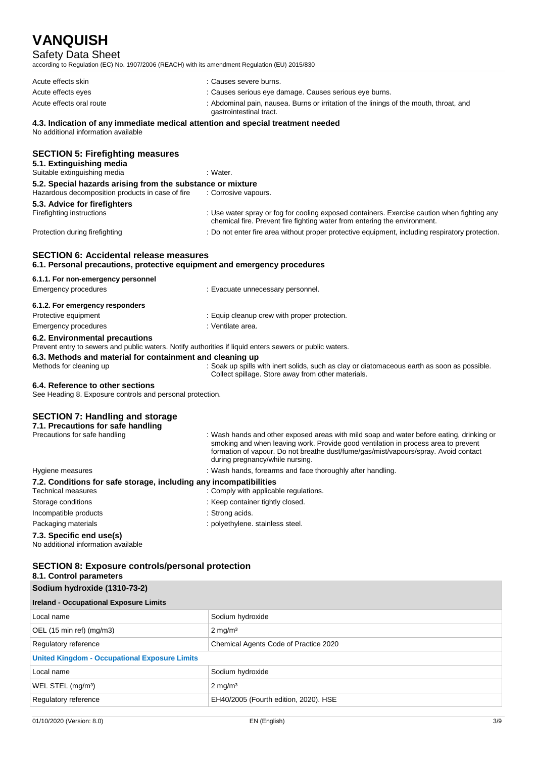# Safety Data Sheet

according to Regulation (EC) No. 1907/2006 (REACH) with its amendment Regulation (EU) 2015/830

| Acute effects skin                                                              | : Causes severe burns.                                                                                            |  |
|---------------------------------------------------------------------------------|-------------------------------------------------------------------------------------------------------------------|--|
| Acute effects eyes                                                              | : Causes serious eye damage. Causes serious eye burns.                                                            |  |
| Acute effects oral route                                                        | : Abdominal pain, nausea. Burns or irritation of the linings of the mouth, throat, and<br>gastrointestinal tract. |  |
| 4.3. Indication of any immediate medical attention and special treatment needed |                                                                                                                   |  |

No additional information available

|  | <b>SECTION 5: Firefighting measures</b> |  |
|--|-----------------------------------------|--|
|--|-----------------------------------------|--|

| 5.1. Extinguishing media<br>Suitable extinguishing media                                                       | : Water.                                                                                                                                                                 |
|----------------------------------------------------------------------------------------------------------------|--------------------------------------------------------------------------------------------------------------------------------------------------------------------------|
| 5.2. Special hazards arising from the substance or mixture<br>Hazardous decomposition products in case of fire | : Corrosive vapours.                                                                                                                                                     |
| 5.3. Advice for firefighters                                                                                   |                                                                                                                                                                          |
| Firefighting instructions                                                                                      | : Use water spray or fog for cooling exposed containers. Exercise caution when fighting any<br>chemical fire. Prevent fire fighting water from entering the environment. |
| Protection during firefighting                                                                                 | : Do not enter fire area without proper protective equipment, including respiratory protection.                                                                          |

#### **SECTION 6: Accidental release measures 6.1. Personal precautions, protective equipment and emergency procedures**

**6.1.1. For non-emergency personnel** Emergency procedures **in the entity of the Contract Execuate** unnecessary personnel. **6.1.2. For emergency responders** Protective equipment **in the contract of the CO** is Equip cleanup crew with proper protection. Emergency procedures in the set of the set of the Senate Senate area.

# **6.2. Environmental precautions**

Prevent entry to sewers and public waters. Notify authorities if liquid enters sewers or public waters.

### **6.3. Methods and material for containment and cleaning up**

Methods for cleaning up : Soak up spills with inert solids, such as clay or diatomaceous earth as soon as possible. Collect spillage. Store away from other materials.

#### **6.4. Reference to other sections**

See Heading 8. Exposure controls and personal protection.

#### **SECTION 7: Handling and storage 7.1. Precautions for safe handling** : Wash hands and other exposed areas with mild soap and water before eating, drinking or smoking and when leaving work. Provide good ventilation in process area to prevent formation of vapour. Do not breathe dust/fume/gas/mist/vapours/spray. Avoid contact during pregnancy/while nursing. Hygiene measures **in the state of the state of the state of the state of the state of the state of the state of t 7.2. Conditions for safe storage, including any incompatibilities** . Comply with applicable regulations. Storage conditions  $\qquad \qquad$ : Keep container tightly closed.

Incompatible products in the state of the strong acids. Packaging materials **Packaging materials** : polyethylene. stainless steel.

## **7.3. Specific end use(s)**

No additional information available

# **SECTION 8: Exposure controls/personal protection**

| <b>SECTION 8: Exposure controls/personal protection</b><br>8.1. Control parameters |                                       |     |
|------------------------------------------------------------------------------------|---------------------------------------|-----|
| Sodium hydroxide (1310-73-2)<br><b>Ireland - Occupational Exposure Limits</b>      |                                       |     |
|                                                                                    |                                       |     |
| OEL (15 min ref) (mg/m3)                                                           | $2 \text{ mg/m}^3$                    |     |
| Regulatory reference                                                               | Chemical Agents Code of Practice 2020 |     |
| <b>United Kingdom - Occupational Exposure Limits</b>                               |                                       |     |
| Local name                                                                         | Sodium hydroxide                      |     |
| WEL STEL (mg/m <sup>3</sup> )                                                      | $2 \text{ mg/m}^3$                    |     |
| Regulatory reference                                                               | EH40/2005 (Fourth edition, 2020). HSE |     |
| 01/10/2020 (Version: 8.0)                                                          | EN (English)                          | 3/9 |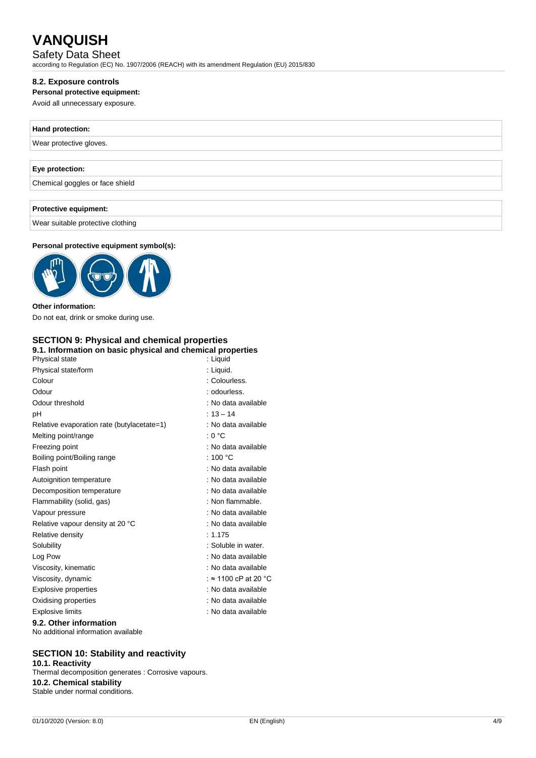# Safety Data Sheet

according to Regulation (EC) No. 1907/2006 (REACH) with its amendment Regulation (EU) 2015/830

## **8.2. Exposure controls**

### **Personal protective equipment:**

Avoid all unnecessary exposure.

## **Hand protection:**

Wear protective gloves.

## **Eye protection:**

Chemical goggles or face shield

## **Protective equipment:**

Wear suitable protective clothing

## **Personal protective equipment symbol(s):**



### **Other information:**

Do not eat, drink or smoke during use.

## **SECTION 9: Physical and chemical properties 9.1. Information on basic physical and chemical properties**

| Physical state                             | : Liquid                     |
|--------------------------------------------|------------------------------|
| Physical state/form                        | : Liquid.                    |
| Colour                                     | : Colourless.                |
| Odour                                      | : odourless.                 |
| Odour threshold                            | : No data available          |
| рH                                         | $: 13 - 14$                  |
| Relative evaporation rate (butylacetate=1) | : No data available          |
| Melting point/range                        | : 0 °C                       |
| Freezing point                             | : No data available          |
| Boiling point/Boiling range                | : 100 °C                     |
| Flash point                                | : No data available          |
| Autoignition temperature                   | : No data available          |
| Decomposition temperature                  | : No data available          |
| Flammability (solid, gas)                  | : Non flammable.             |
| Vapour pressure                            | : No data available          |
| Relative vapour density at 20 °C           | : No data available          |
| Relative density                           | : 1.175                      |
| Solubility                                 | : Soluble in water.          |
| Log Pow                                    | : No data available          |
| Viscosity, kinematic                       | : No data available          |
| Viscosity, dynamic                         | : $\approx$ 1100 cP at 20 °C |
| Explosive properties                       | : No data available          |
| Oxidising properties                       | : No data available          |
| <b>Explosive limits</b>                    | : No data available          |
| 00 Other information                       |                              |

# **9.2. Other information**

No additional information available

# **SECTION 10: Stability and reactivity**

**10.1. Reactivity**

Thermal decomposition generates : Corrosive vapours. **10.2. Chemical stability** Stable under normal conditions.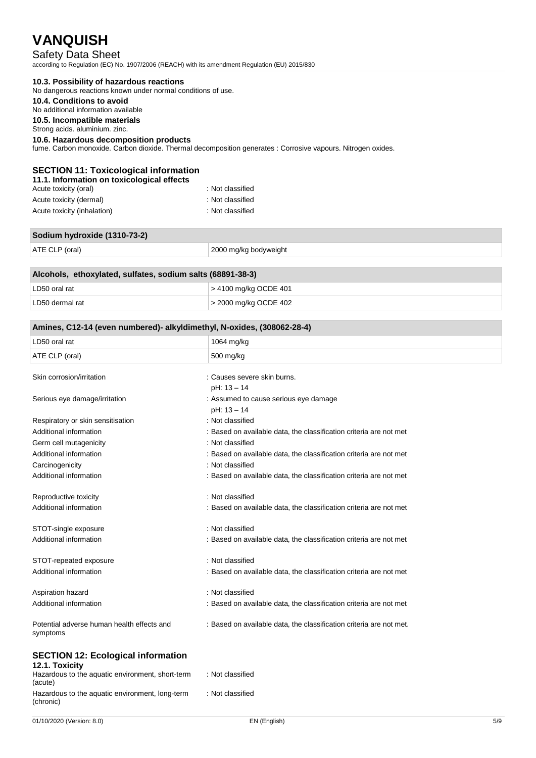# Safety Data Sheet

according to Regulation (EC) No. 1907/2006 (REACH) with its amendment Regulation (EU) 2015/830

### **10.3. Possibility of hazardous reactions**

No dangerous reactions known under normal conditions of use.

# **10.4. Conditions to avoid**

No additional information available

**10.5. Incompatible materials** Strong acids. aluminium. zinc.

## **10.6. Hazardous decomposition products**

fume. Carbon monoxide. Carbon dioxide. Thermal decomposition generates : Corrosive vapours. Nitrogen oxides.

# **SECTION 11: Toxicological information**

|  | 11.1. Information on toxicological effects |  |  |
|--|--------------------------------------------|--|--|

| Acute toxicity (oral)       | : Not classified |
|-----------------------------|------------------|
| Acute toxicity (dermal)     | : Not classified |
| Acute toxicity (inhalation) | : Not classified |

| Sodium hydroxide (1310-73-2) |  |  |
|------------------------------|--|--|
|                              |  |  |
|                              |  |  |

| Alcohols, ethoxylated, sulfates, sodium salts (68891-38-3) |                       |  |  |
|------------------------------------------------------------|-----------------------|--|--|
| LD50 oral rat                                              | > 4100 mg/kg OCDE 401 |  |  |
| LD50 dermal rat                                            | > 2000 mg/kg OCDE 402 |  |  |

| Amines, C12-14 (even numbered)- alkyldimethyl, N-oxides, (308062-28-4) |                                                                     |  |
|------------------------------------------------------------------------|---------------------------------------------------------------------|--|
| LD50 oral rat                                                          | 1064 mg/kg                                                          |  |
| ATE CLP (oral)                                                         | 500 mg/kg                                                           |  |
|                                                                        |                                                                     |  |
| Skin corrosion/irritation                                              | : Causes severe skin burns.                                         |  |
|                                                                        | pH: 13 - 14                                                         |  |
| Serious eye damage/irritation                                          | : Assumed to cause serious eye damage                               |  |
|                                                                        | pH: 13 - 14                                                         |  |
| Respiratory or skin sensitisation                                      | : Not classified                                                    |  |
| Additional information                                                 | : Based on available data, the classification criteria are not met  |  |
| Germ cell mutagenicity                                                 | : Not classified                                                    |  |
| Additional information                                                 | : Based on available data, the classification criteria are not met  |  |
| Carcinogenicity                                                        | : Not classified                                                    |  |
| Additional information                                                 | : Based on available data, the classification criteria are not met  |  |
| Reproductive toxicity                                                  | : Not classified                                                    |  |
| Additional information                                                 | : Based on available data, the classification criteria are not met  |  |
| STOT-single exposure                                                   | : Not classified                                                    |  |
| Additional information                                                 | : Based on available data, the classification criteria are not met  |  |
| STOT-repeated exposure                                                 | : Not classified                                                    |  |
| Additional information                                                 | : Based on available data, the classification criteria are not met  |  |
| Aspiration hazard                                                      | : Not classified                                                    |  |
| Additional information                                                 | : Based on available data, the classification criteria are not met  |  |
| Potential adverse human health effects and<br>symptoms                 | : Based on available data, the classification criteria are not met. |  |
| CECTION 40. Esslazioni information                                     |                                                                     |  |

#### **SECTION 12: Ecological information 12.1. Toxicity**

| <b>IL.I. IVAIVILY</b>                            |                  |
|--------------------------------------------------|------------------|
| Hazardous to the aquatic environment, short-term | : Not classified |
| (acute)                                          |                  |
| Hazardous to the aquatic environment, long-term  | : Not classified |
| (chronic)                                        |                  |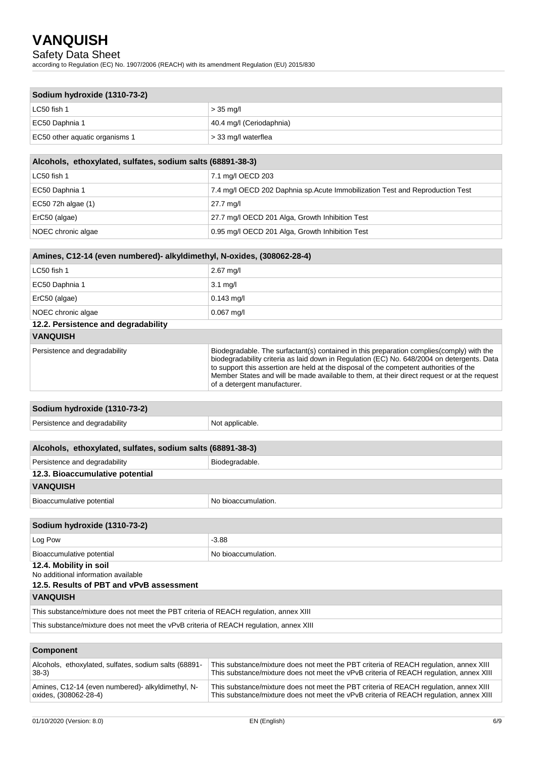# Safety Data Sheet

according to Regulation (EC) No. 1907/2006 (REACH) with its amendment Regulation (EU) 2015/830

| Sodium hydroxide (1310-73-2)   |                          |  |
|--------------------------------|--------------------------|--|
| LC50 fish 1                    | $>$ 35 mg/l              |  |
| EC50 Daphnia 1                 | 40.4 mg/l (Ceriodaphnia) |  |
| EC50 other aquatic organisms 1 | $\geq$ 33 mg/l waterflea |  |
|                                |                          |  |

| Alcohols, ethoxylated, sulfates, sodium salts (68891-38-3) |                                                                               |  |
|------------------------------------------------------------|-------------------------------------------------------------------------------|--|
| LC50 fish 1                                                | 7.1 mg/l OECD 203                                                             |  |
| EC50 Daphnia 1                                             | 7.4 mg/l OECD 202 Daphnia sp. Acute Immobilization Test and Reproduction Test |  |
| EC50 72h algae (1)                                         | 27.7 mg/l                                                                     |  |
| ErC50 (algae)                                              | 27.7 mg/l OECD 201 Alga, Growth Inhibition Test                               |  |
| NOEC chronic algae                                         | 0.95 mg/l OECD 201 Alga, Growth Inhibition Test                               |  |

| Amines, C12-14 (even numbered)- alkyldimethyl, N-oxides, (308062-28-4) |                                                                                                                                                                                                                                                                                                                                                                                  |  |  |
|------------------------------------------------------------------------|----------------------------------------------------------------------------------------------------------------------------------------------------------------------------------------------------------------------------------------------------------------------------------------------------------------------------------------------------------------------------------|--|--|
| LC50 fish 1                                                            | $2.67$ mg/l                                                                                                                                                                                                                                                                                                                                                                      |  |  |
| EC50 Daphnia 1                                                         | $3.1 \text{ mq/l}$                                                                                                                                                                                                                                                                                                                                                               |  |  |
| ErC50 (algae)                                                          | $0.143$ mg/l                                                                                                                                                                                                                                                                                                                                                                     |  |  |
| NOEC chronic algae                                                     | $0.067$ mg/l                                                                                                                                                                                                                                                                                                                                                                     |  |  |
| 12.2. Persistence and degradability                                    |                                                                                                                                                                                                                                                                                                                                                                                  |  |  |
| <b>VANQUISH</b>                                                        |                                                                                                                                                                                                                                                                                                                                                                                  |  |  |
| Persistence and degradability                                          | Biodegradable. The surfactant(s) contained in this preparation complies (comply) with the<br>biodegradability criteria as laid down in Regulation (EC) No. 648/2004 on detergents. Data<br>to support this assertion are held at the disposal of the competent authorities of the<br>Member States and will be made available to them, at their direct request or at the request |  |  |

| Sodium hydroxide (1310-73-2)  |                 |  |
|-------------------------------|-----------------|--|
| Persistence and degradability | Not applicable. |  |
|                               |                 |  |

of a detergent manufacturer.

| Alcohols, ethoxylated, sulfates, sodium salts (68891-38-3) |                     |  |  |
|------------------------------------------------------------|---------------------|--|--|
| Persistence and degradability                              | Biodegradable.      |  |  |
| 12.3. Bioaccumulative potential                            |                     |  |  |
| <b>VANQUISH</b>                                            |                     |  |  |
| Bioaccumulative potential                                  | No bioaccumulation. |  |  |

| Sodium hydroxide (1310-73-2) |                     |  |  |
|------------------------------|---------------------|--|--|
| Log Pow                      | $-3.88$             |  |  |
| Bioaccumulative potential    | No bioaccumulation. |  |  |
| 12.4. Mobility in soil       |                     |  |  |

No additional information available

# **12.5. Results of PBT and vPvB assessment**

**VANQUISH** 

This substance/mixture does not meet the PBT criteria of REACH regulation, annex XIII

This substance/mixture does not meet the vPvB criteria of REACH regulation, annex XIII

| <b>Component</b>                                      |                                                                                        |  |  |
|-------------------------------------------------------|----------------------------------------------------------------------------------------|--|--|
| Alcohols, ethoxylated, sulfates, sodium salts (68891- | This substance/mixture does not meet the PBT criteria of REACH regulation, annex XIII  |  |  |
| $38-3)$                                               | This substance/mixture does not meet the vPvB criteria of REACH regulation, annex XIII |  |  |
| Amines, C12-14 (even numbered) alkyldimethyl, N-      | This substance/mixture does not meet the PBT criteria of REACH regulation, annex XIII  |  |  |
| oxides, (308062-28-4)                                 | This substance/mixture does not meet the vPvB criteria of REACH regulation, annex XIII |  |  |
|                                                       |                                                                                        |  |  |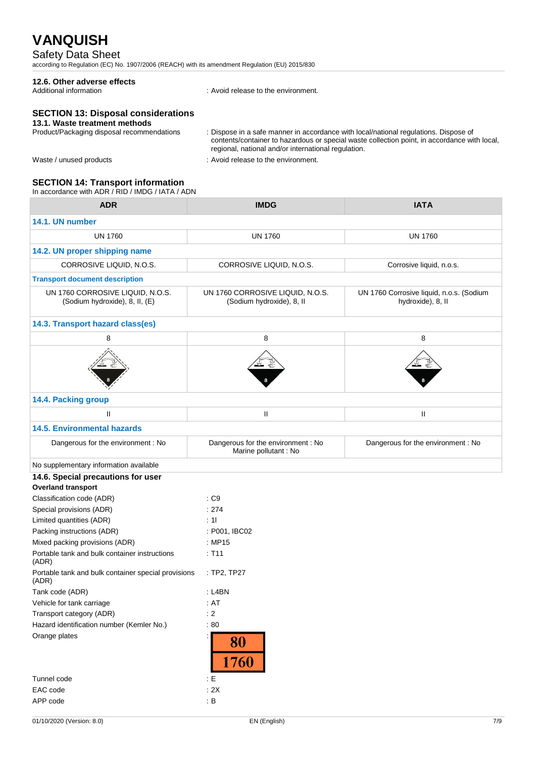## Safety Data Sheet

according to Regulation (EC) No. 1907/2006 (REACH) with its amendment Regulation (EU) 2015/830

# **12.6. Other adverse effects**

: Avoid release to the environment.

# **SECTION 13: Disposal considerations**

# 13.1. Waste treatment methods<br>Product/Packaging disposal recommendations

: Dispose in a safe manner in accordance with local/national regulations. Dispose of contents/container to hazardous or special waste collection point, in accordance with local, regional, national and/or international regulation.

- 
- Waste / unused products in the environment.

#### **SECTION 14: Transport information**

In accordance with ADR / RID / IMDG / IATA / ADN

| <b>ADR</b>                                                                      | <b>IMDG</b>                                                   | <b>IATA</b>                                                   |
|---------------------------------------------------------------------------------|---------------------------------------------------------------|---------------------------------------------------------------|
| 14.1. UN number                                                                 |                                                               |                                                               |
| <b>UN 1760</b>                                                                  | <b>UN 1760</b>                                                | <b>UN 1760</b>                                                |
| 14.2. UN proper shipping name                                                   |                                                               |                                                               |
| CORROSIVE LIQUID, N.O.S.                                                        | CORROSIVE LIQUID, N.O.S.                                      | Corrosive liquid, n.o.s.                                      |
| <b>Transport document description</b>                                           |                                                               |                                                               |
| UN 1760 CORROSIVE LIQUID, N.O.S.<br>(Sodium hydroxide), 8, II, (E)              | UN 1760 CORROSIVE LIQUID, N.O.S.<br>(Sodium hydroxide), 8, II | UN 1760 Corrosive liquid, n.o.s. (Sodium<br>hydroxide), 8, II |
| 14.3. Transport hazard class(es)                                                |                                                               |                                                               |
| 8                                                                               | 8                                                             | 8                                                             |
|                                                                                 |                                                               |                                                               |
| 14.4. Packing group                                                             |                                                               |                                                               |
| Ш                                                                               | Ш                                                             | $\mathbf{H}$                                                  |
| <b>14.5. Environmental hazards</b>                                              |                                                               |                                                               |
| Dangerous for the environment : No                                              | Dangerous for the environment : No<br>Marine pollutant : No   | Dangerous for the environment : No                            |
| No supplementary information available                                          |                                                               |                                                               |
| 14.6. Special precautions for user                                              |                                                               |                                                               |
| <b>Overland transport</b>                                                       |                                                               |                                                               |
| Classification code (ADR)                                                       | : C9                                                          |                                                               |
| Special provisions (ADR)                                                        | : 274                                                         |                                                               |
| Limited quantities (ADR)                                                        | : 11                                                          |                                                               |
| Packing instructions (ADR)                                                      | : P001, IBC02                                                 |                                                               |
| Mixed packing provisions (ADR)<br>Portable tank and bulk container instructions | : MP15<br>: T11                                               |                                                               |
| (ADR)                                                                           |                                                               |                                                               |
| Portable tank and bulk container special provisions<br>(ADR)                    | : TP2, TP27                                                   |                                                               |
| Tank code (ADR)                                                                 | : L4BN                                                        |                                                               |
| Vehicle for tank carriage                                                       | : AT                                                          |                                                               |
| Transport category (ADR)                                                        | $\therefore$ 2                                                |                                                               |
| Hazard identification number (Kemler No.)                                       | :80                                                           |                                                               |
| Orange plates                                                                   | 80<br>1760                                                    |                                                               |
| Tunnel code                                                                     | $\pm E$                                                       |                                                               |
| EAC code                                                                        | : 2X                                                          |                                                               |
| APP code                                                                        | : $\mathsf B$                                                 |                                                               |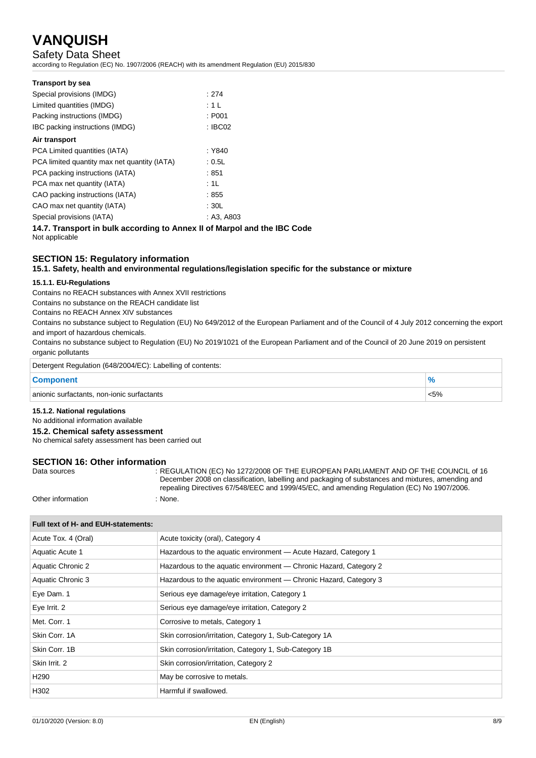# Safety Data Sheet

according to Regulation (EC) No. 1907/2006 (REACH) with its amendment Regulation (EU) 2015/830

| <b>Transport by sea</b>                      |                    |
|----------------------------------------------|--------------------|
| Special provisions (IMDG)                    | : 274              |
| Limited quantities (IMDG)                    | : 1 L              |
| Packing instructions (IMDG)                  | : P <sub>001</sub> |
| IBC packing instructions (IMDG)              | : IBCO2            |
| Air transport                                |                    |
| PCA Limited quantities (IATA)                | : Y840             |
| PCA limited quantity max net quantity (IATA) | : 0.5L             |
| PCA packing instructions (IATA)              | : 851              |
| PCA max net quantity (IATA)                  | :1L                |
| CAO packing instructions (IATA)              | :855               |
| CAO max net quantity (IATA)                  | :30L               |
| Special provisions (IATA)                    | : A3, A803         |
|                                              | .                  |

**14.7. Transport in bulk according to Annex II of Marpol and the IBC Code** Not applicable

## **SECTION 15: Regulatory information**

**15.1. Safety, health and environmental regulations/legislation specific for the substance or mixture**

#### **15.1.1. EU-Regulations**

Contains no REACH substances with Annex XVII restrictions

Contains no substance on the REACH candidate list

Contains no REACH Annex XIV substances

Contains no substance subject to Regulation (EU) No 649/2012 of the European Parliament and of the Council of 4 July 2012 concerning the export and import of hazardous chemicals.

Contains no substance subject to Regulation (EU) No 2019/1021 of the European Parliament and of the Council of 20 June 2019 on persistent organic pollutants

| Detergent Regulation (648/2004/EC): Labelling of contents: |         |  |
|------------------------------------------------------------|---------|--|
| <b>Component</b>                                           |         |  |
| anionic surfactants, non-ionic surfactants                 | $< 5\%$ |  |

#### **15.1.2. National regulations**

No additional information available

**15.2. Chemical safety assessment**

No chemical safety assessment has been carried out

# **SECTION 16: Other information**<br>Data sources

REGULATION (EC) No 1272/2008 OF THE EUROPEAN PARLIAMENT AND OF THE COUNCIL of 16 December 2008 on classification, labelling and packaging of substances and mixtures, amending and repealing Directives 67/548/EEC and 1999/45/EC, and amending Regulation (EC) No 1907/2006. Other information : None.

### **Full text of H- and EUH-statements:**

| Acute Tox. 4 (Oral)      | Acute toxicity (oral), Category 4                                 |
|--------------------------|-------------------------------------------------------------------|
| Aquatic Acute 1          | Hazardous to the aquatic environment - Acute Hazard, Category 1   |
| <b>Aquatic Chronic 2</b> | Hazardous to the aquatic environment — Chronic Hazard, Category 2 |
| Aquatic Chronic 3        | Hazardous to the aquatic environment — Chronic Hazard, Category 3 |
| Eye Dam. 1               | Serious eye damage/eye irritation, Category 1                     |
| Eye Irrit. 2             | Serious eye damage/eye irritation, Category 2                     |
| Met. Corr. 1             | Corrosive to metals, Category 1                                   |
| Skin Corr. 1A            | Skin corrosion/irritation, Category 1, Sub-Category 1A            |
| Skin Corr. 1B            | Skin corrosion/irritation, Category 1, Sub-Category 1B            |
| Skin Irrit, 2            | Skin corrosion/irritation, Category 2                             |
| H <sub>290</sub>         | May be corrosive to metals.                                       |
| H302                     | Harmful if swallowed.                                             |
|                          |                                                                   |